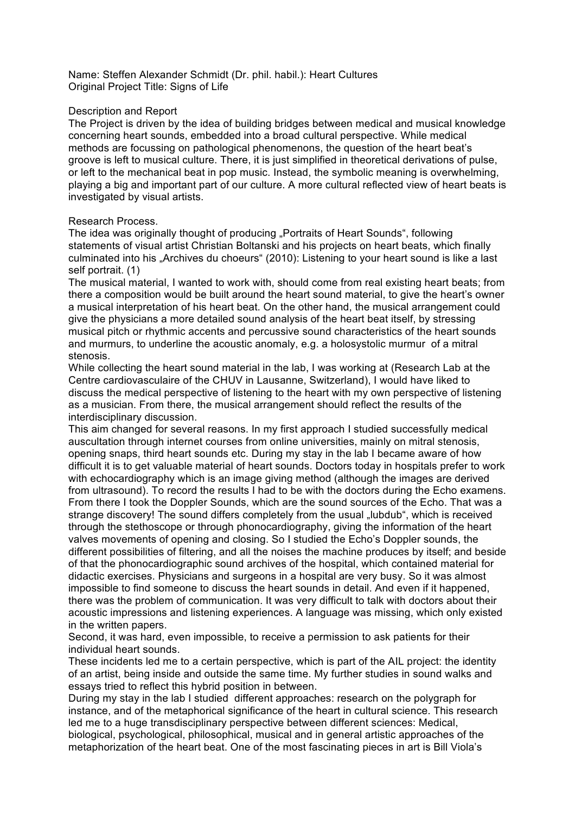Name: Steffen Alexander Schmidt (Dr. phil. habil.): Heart Cultures Original Project Title: Signs of Life

## Description and Report

The Project is driven by the idea of building bridges between medical and musical knowledge concerning heart sounds, embedded into a broad cultural perspective. While medical methods are focussing on pathological phenomenons, the question of the heart beat's groove is left to musical culture. There, it is just simplified in theoretical derivations of pulse, or left to the mechanical beat in pop music. Instead, the symbolic meaning is overwhelming, playing a big and important part of our culture. A more cultural reflected view of heart beats is investigated by visual artists.

## Research Process.

The idea was originally thought of producing "Portraits of Heart Sounds", following statements of visual artist Christian Boltanski and his projects on heart beats, which finally culminated into his "Archives du choeurs" (2010): Listening to your heart sound is like a last self portrait. (1)

The musical material, I wanted to work with, should come from real existing heart beats; from there a composition would be built around the heart sound material, to give the heart's owner a musical interpretation of his heart beat. On the other hand, the musical arrangement could give the physicians a more detailed sound analysis of the heart beat itself, by stressing musical pitch or rhythmic accents and percussive sound characteristics of the heart sounds and murmurs, to underline the acoustic anomaly, e.g. a holosystolic murmur of a mitral stenosis.

While collecting the heart sound material in the lab, I was working at (Research Lab at the Centre cardiovasculaire of the CHUV in Lausanne, Switzerland), I would have liked to discuss the medical perspective of listening to the heart with my own perspective of listening as a musician. From there, the musical arrangement should reflect the results of the interdisciplinary discussion.

This aim changed for several reasons. In my first approach I studied successfully medical auscultation through internet courses from online universities, mainly on mitral stenosis, opening snaps, third heart sounds etc. During my stay in the lab I became aware of how difficult it is to get valuable material of heart sounds. Doctors today in hospitals prefer to work with echocardiography which is an image giving method (although the images are derived from ultrasound). To record the results I had to be with the doctors during the Echo examens. From there I took the Doppler Sounds, which are the sound sources of the Echo. That was a strange discovery! The sound differs completely from the usual ...Iubdub", which is received through the stethoscope or through phonocardiography, giving the information of the heart valves movements of opening and closing. So I studied the Echo's Doppler sounds, the different possibilities of filtering, and all the noises the machine produces by itself; and beside of that the phonocardiographic sound archives of the hospital, which contained material for didactic exercises. Physicians and surgeons in a hospital are very busy. So it was almost impossible to find someone to discuss the heart sounds in detail. And even if it happened, there was the problem of communication. It was very difficult to talk with doctors about their acoustic impressions and listening experiences. A language was missing, which only existed in the written papers.

Second, it was hard, even impossible, to receive a permission to ask patients for their individual heart sounds.

These incidents led me to a certain perspective, which is part of the AIL project: the identity of an artist, being inside and outside the same time. My further studies in sound walks and essays tried to reflect this hybrid position in between.

During my stay in the lab I studied different approaches: research on the polygraph for instance, and of the metaphorical significance of the heart in cultural science. This research led me to a huge transdisciplinary perspective between different sciences: Medical, biological, psychological, philosophical, musical and in general artistic approaches of the metaphorization of the heart beat. One of the most fascinating pieces in art is Bill Viola's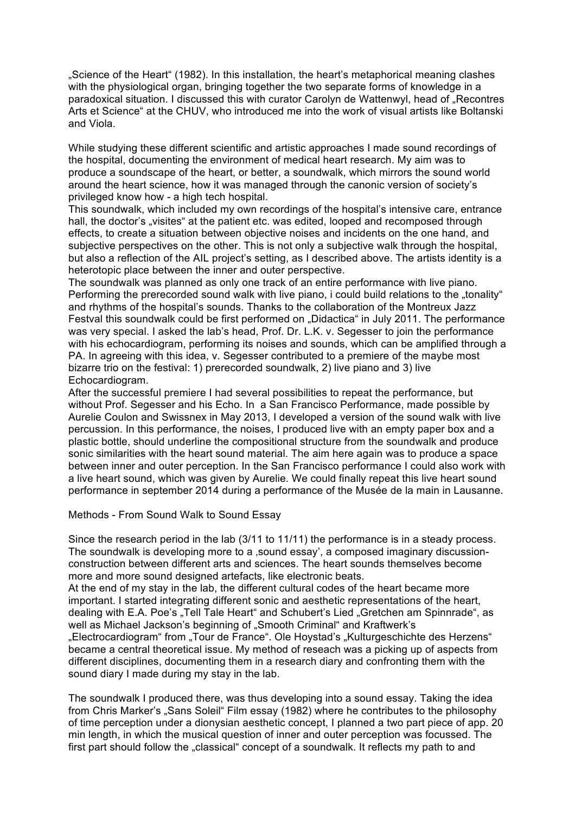"Science of the Heart" (1982). In this installation, the heart's metaphorical meaning clashes with the physiological organ, bringing together the two separate forms of knowledge in a paradoxical situation. I discussed this with curator Carolyn de Wattenwyl, head of "Recontres Arts et Science" at the CHUV, who introduced me into the work of visual artists like Boltanski and Viola.

While studying these different scientific and artistic approaches I made sound recordings of the hospital, documenting the environment of medical heart research. My aim was to produce a soundscape of the heart, or better, a soundwalk, which mirrors the sound world around the heart science, how it was managed through the canonic version of society's privileged know how - a high tech hospital.

This soundwalk, which included my own recordings of the hospital's intensive care, entrance hall, the doctor's "visites" at the patient etc. was edited, looped and recomposed through effects, to create a situation between objective noises and incidents on the one hand, and subjective perspectives on the other. This is not only a subjective walk through the hospital, but also a reflection of the AIL project's setting, as I described above. The artists identity is a heterotopic place between the inner and outer perspective.

The soundwalk was planned as only one track of an entire performance with live piano. Performing the prerecorded sound walk with live piano, i could build relations to the "tonality" and rhythms of the hospital's sounds. Thanks to the collaboration of the Montreux Jazz Festval this soundwalk could be first performed on "Didactica" in July 2011. The performance was very special. I asked the lab's head, Prof. Dr. L.K. v. Segesser to join the performance with his echocardiogram, performing its noises and sounds, which can be amplified through a PA. In agreeing with this idea, v. Segesser contributed to a premiere of the maybe most bizarre trio on the festival: 1) prerecorded soundwalk, 2) live piano and 3) live Echocardiogram.

After the successful premiere I had several possibilities to repeat the performance, but without Prof. Segesser and his Echo. In a San Francisco Performance, made possible by Aurelie Coulon and Swissnex in May 2013, I developed a version of the sound walk with live percussion. In this performance, the noises, I produced live with an empty paper box and a plastic bottle, should underline the compositional structure from the soundwalk and produce sonic similarities with the heart sound material. The aim here again was to produce a space between inner and outer perception. In the San Francisco performance I could also work with a live heart sound, which was given by Aurelie. We could finally repeat this live heart sound performance in september 2014 during a performance of the Musée de la main in Lausanne.

## Methods - From Sound Walk to Sound Essay

Since the research period in the lab (3/11 to 11/11) the performance is in a steady process. The soundwalk is developing more to a , sound essay', a composed imaginary discussionconstruction between different arts and sciences. The heart sounds themselves become more and more sound designed artefacts, like electronic beats.

At the end of my stay in the lab, the different cultural codes of the heart became more important. I started integrating different sonic and aesthetic representations of the heart, dealing with E.A. Poe's "Tell Tale Heart" and Schubert's Lied "Gretchen am Spinnrade", as well as Michael Jackson's beginning of "Smooth Criminal" and Kraftwerk's "Electrocardiogram" from "Tour de France". Ole Hoystad's "Kulturgeschichte des Herzens" became a central theoretical issue. My method of reseach was a picking up of aspects from different disciplines, documenting them in a research diary and confronting them with the sound diary I made during my stay in the lab.

The soundwalk I produced there, was thus developing into a sound essay. Taking the idea from Chris Marker's "Sans Soleil" Film essay (1982) where he contributes to the philosophy of time perception under a dionysian aesthetic concept, I planned a two part piece of app. 20 min length, in which the musical question of inner and outer perception was focussed. The first part should follow the "classical" concept of a soundwalk. It reflects my path to and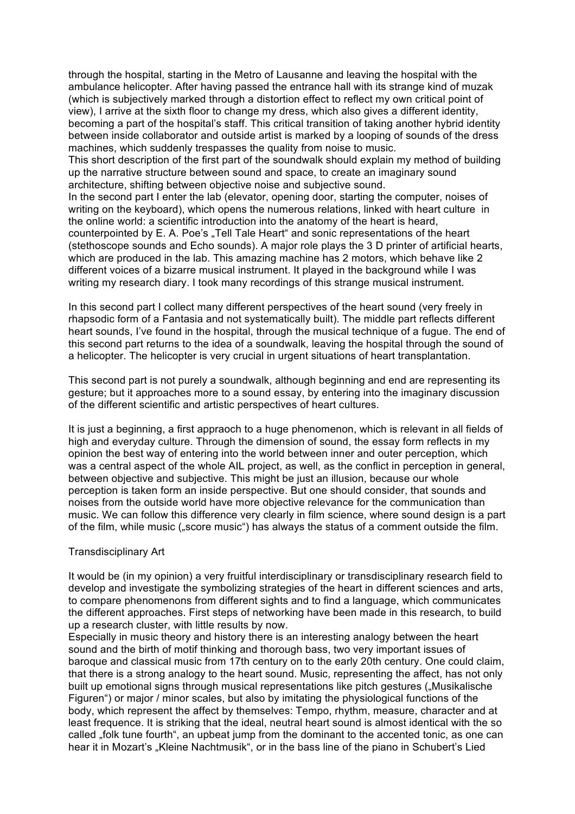through the hospital, starting in the Metro of Lausanne and leaving the hospital with the ambulance helicopter. After having passed the entrance hall with its strange kind of muzak (which is subjectively marked through a distortion effect to reflect my own critical point of view), I arrive at the sixth floor to change my dress, which also gives a different identity, becoming a part of the hospital's staff. This critical transition of taking another hybrid identity between inside collaborator and outside artist is marked by a looping of sounds of the dress machines, which suddenly trespasses the quality from noise to music.

This short description of the first part of the soundwalk should explain my method of building up the narrative structure between sound and space, to create an imaginary sound architecture, shifting between objective noise and subjective sound.

In the second part I enter the lab (elevator, opening door, starting the computer, noises of writing on the keyboard), which opens the numerous relations, linked with heart culture in the online world: a scientific introduction into the anatomy of the heart is heard, counterpointed by E. A. Poe's "Tell Tale Heart" and sonic representations of the heart (stethoscope sounds and Echo sounds). A major role plays the 3 D printer of artificial hearts, which are produced in the lab. This amazing machine has 2 motors, which behave like 2 different voices of a bizarre musical instrument. It played in the background while I was writing my research diary. I took many recordings of this strange musical instrument.

In this second part I collect many different perspectives of the heart sound (very freely in rhapsodic form of a Fantasia and not systematically built). The middle part reflects different heart sounds, I've found in the hospital, through the musical technique of a fugue. The end of this second part returns to the idea of a soundwalk, leaving the hospital through the sound of a helicopter. The helicopter is very crucial in urgent situations of heart transplantation.

This second part is not purely a soundwalk, although beginning and end are representing its gesture; but it approaches more to a sound essay, by entering into the imaginary discussion of the different scientific and artistic perspectives of heart cultures.

It is just a beginning, a first appraoch to a huge phenomenon, which is relevant in all fields of high and everyday culture. Through the dimension of sound, the essay form reflects in my opinion the best way of entering into the world between inner and outer perception, which was a central aspect of the whole AIL project, as well, as the conflict in perception in general, between objective and subjective. This might be just an illusion, because our whole perception is taken form an inside perspective. But one should consider, that sounds and noises from the outside world have more objective relevance for the communication than music. We can follow this difference very clearly in film science, where sound design is a part of the film, while music ("score music") has always the status of a comment outside the film.

## Transdisciplinary Art

It would be (in my opinion) a very fruitful interdisciplinary or transdisciplinary research field to develop and investigate the symbolizing strategies of the heart in different sciences and arts, to compare phenomenons from different sights and to find a language, which communicates the different approaches. First steps of networking have been made in this research, to build up a research cluster, with little results by now.

Especially in music theory and history there is an interesting analogy between the heart sound and the birth of motif thinking and thorough bass, two very important issues of baroque and classical music from 17th century on to the early 20th century. One could claim, that there is a strong analogy to the heart sound. Music, representing the affect, has not only built up emotional signs through musical representations like pitch gestures ("Musikalische Figuren") or major / minor scales, but also by imitating the physiological functions of the body, which represent the affect by themselves: Tempo, rhythm, measure, character and at least frequence. It is striking that the ideal, neutral heart sound is almost identical with the so called "folk tune fourth", an upbeat jump from the dominant to the accented tonic, as one can hear it in Mozart's "Kleine Nachtmusik", or in the bass line of the piano in Schubert's Lied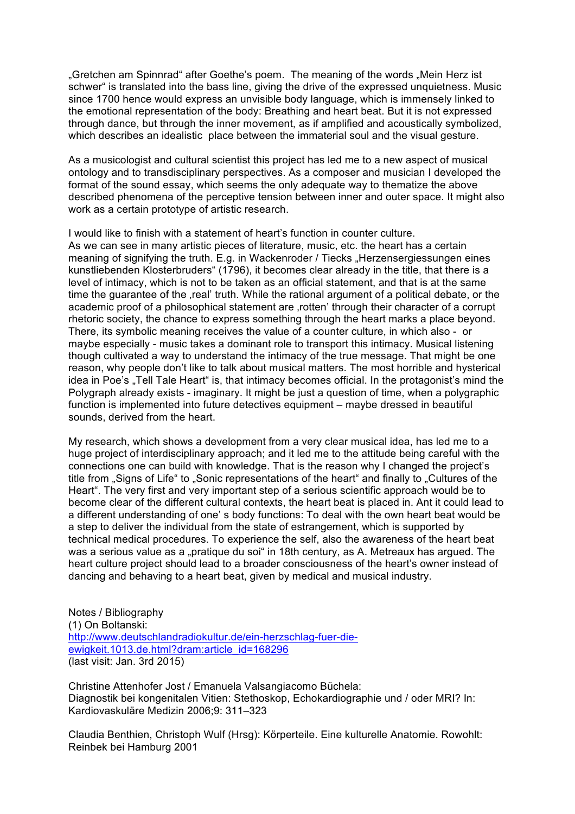"Gretchen am Spinnrad" after Goethe's poem. The meaning of the words "Mein Herz ist schwer" is translated into the bass line, giving the drive of the expressed unquietness. Music since 1700 hence would express an unvisible body language, which is immensely linked to the emotional representation of the body: Breathing and heart beat. But it is not expressed through dance, but through the inner movement, as if amplified and acoustically symbolized, which describes an idealistic place between the immaterial soul and the visual gesture.

As a musicologist and cultural scientist this project has led me to a new aspect of musical ontology and to transdisciplinary perspectives. As a composer and musician I developed the format of the sound essay, which seems the only adequate way to thematize the above described phenomena of the perceptive tension between inner and outer space. It might also work as a certain prototype of artistic research.

I would like to finish with a statement of heart's function in counter culture. As we can see in many artistic pieces of literature, music, etc. the heart has a certain meaning of signifying the truth. E.g. in Wackenroder / Tiecks "Herzensergiessungen eines kunstliebenden Klosterbruders" (1796), it becomes clear already in the title, that there is a level of intimacy, which is not to be taken as an official statement, and that is at the same time the guarantee of the , real' truth. While the rational argument of a political debate, or the academic proof of a philosophical statement are 'rotten' through their character of a corrupt rhetoric society, the chance to express something through the heart marks a place beyond. There, its symbolic meaning receives the value of a counter culture, in which also - or maybe especially - music takes a dominant role to transport this intimacy. Musical listening though cultivated a way to understand the intimacy of the true message. That might be one reason, why people don't like to talk about musical matters. The most horrible and hysterical idea in Poe's . Tell Tale Heart" is, that intimacy becomes official. In the protagonist's mind the Polygraph already exists - imaginary. It might be just a question of time, when a polygraphic function is implemented into future detectives equipment – maybe dressed in beautiful sounds, derived from the heart.

My research, which shows a development from a very clear musical idea, has led me to a huge project of interdisciplinary approach; and it led me to the attitude being careful with the connections one can build with knowledge. That is the reason why I changed the project's title from "Signs of Life" to "Sonic representations of the heart" and finally to "Cultures of the Heart". The very first and very important step of a serious scientific approach would be to become clear of the different cultural contexts, the heart beat is placed in. Ant it could lead to a different understanding of one' s body functions: To deal with the own heart beat would be a step to deliver the individual from the state of estrangement, which is supported by technical medical procedures. To experience the self, also the awareness of the heart beat was a serious value as a "pratique du soi" in 18th century, as A. Metreaux has argued. The heart culture project should lead to a broader consciousness of the heart's owner instead of dancing and behaving to a heart beat, given by medical and musical industry.

Notes / Bibliography (1) On Boltanski: http://www.deutschlandradiokultur.de/ein-herzschlag-fuer-dieewigkeit.1013.de.html?dram:article\_id=168296 (last visit: Jan. 3rd 2015)

Christine Attenhofer Jost / Emanuela Valsangiacomo Büchela: Diagnostik bei kongenitalen Vitien: Stethoskop, Echokardiographie und / oder MRI? In: Kardiovaskuläre Medizin 2006;9: 311–323

Claudia Benthien, Christoph Wulf (Hrsg): Körperteile. Eine kulturelle Anatomie. Rowohlt: Reinbek bei Hamburg 2001